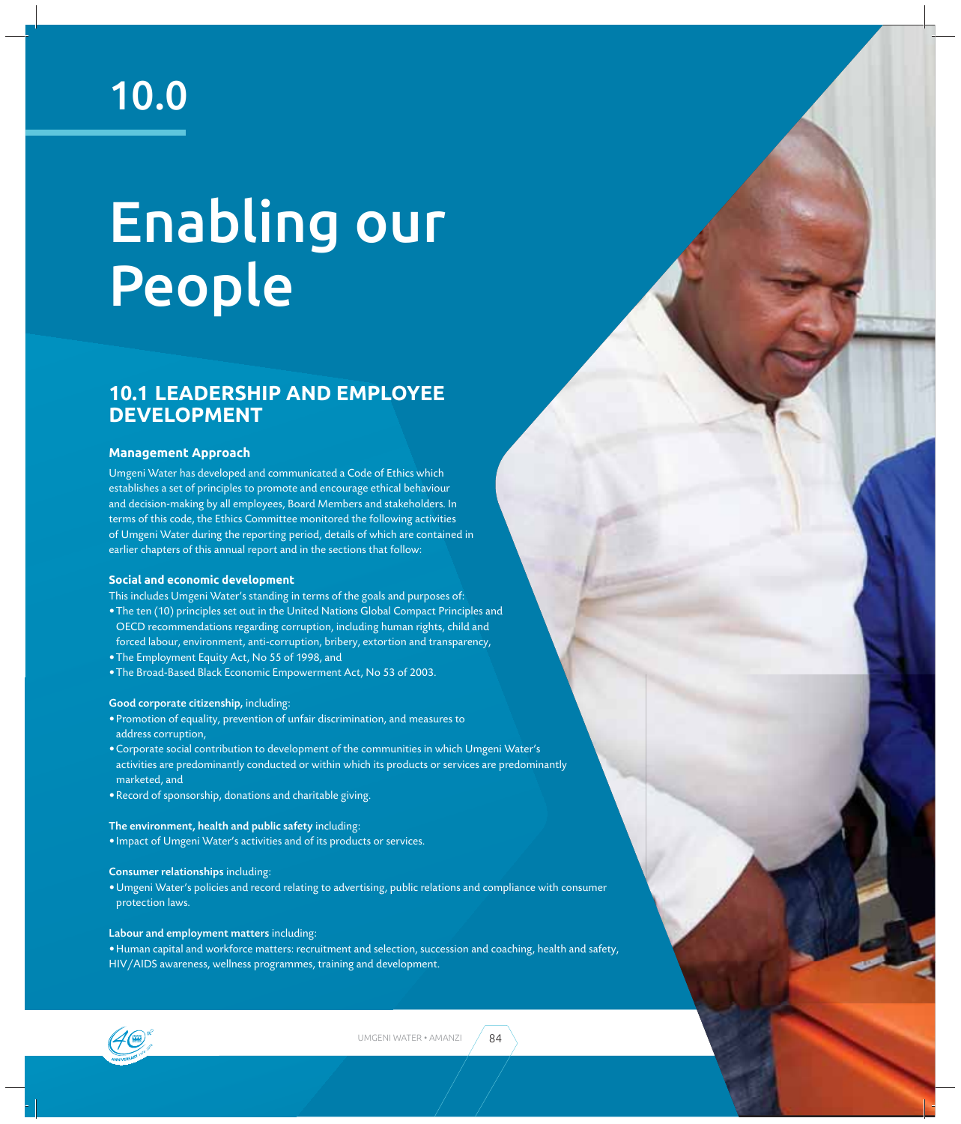## 10.0

# Enabling our People

## **10.1 LEADERSHIP AND EMPLOYEE DEVELOPMENT**

#### **Management Approach**

Umgeni Water has developed and communicated a Code of Ethics which establishes a set of principles to promote and encourage ethical behaviour and decision-making by all employees, Board Members and stakeholders. In terms of this code, the Ethics Committee monitored the following activities of Umgeni Water during the reporting period, details of which are contained in earlier chapters of this annual report and in the sections that follow:

#### **Social and economic development**

This includes Umgeni Water's standing in terms of the goals and purposes of:

- The ten (10) principles set out in the United Nations Global Compact Principles and OECD recommendations regarding corruption, including human rights, child and forced labour, environment, anti-corruption, bribery, extortion and transparency,
- The Employment Equity Act, No 55 of 1998, and
- The Broad-Based Black Economic Empowerment Act, No 53 of 2003.

#### Good corporate citizenship, including:

- Promotion of equality, prevention of unfair discrimination, and measures to address corruption,
- Corporate social contribution to development of the communities in which Umgeni Water's activities are predominantly conducted or within which its products or services are predominantly marketed, and
- Record of sponsorship, donations and charitable giving.

#### The environment, health and public safety including:

• Impact of Umgeni Water's activities and of its products or services.

#### Consumer relationships including:

• Umgeni Water's policies and record relating to advertising, public relations and compliance with consumer protection laws.

#### Labour and employment matters including:

• Human capital and workforce matters: recruitment and selection, succession and coaching, health and safety, HIV/AIDS awareness, wellness programmes, training and development.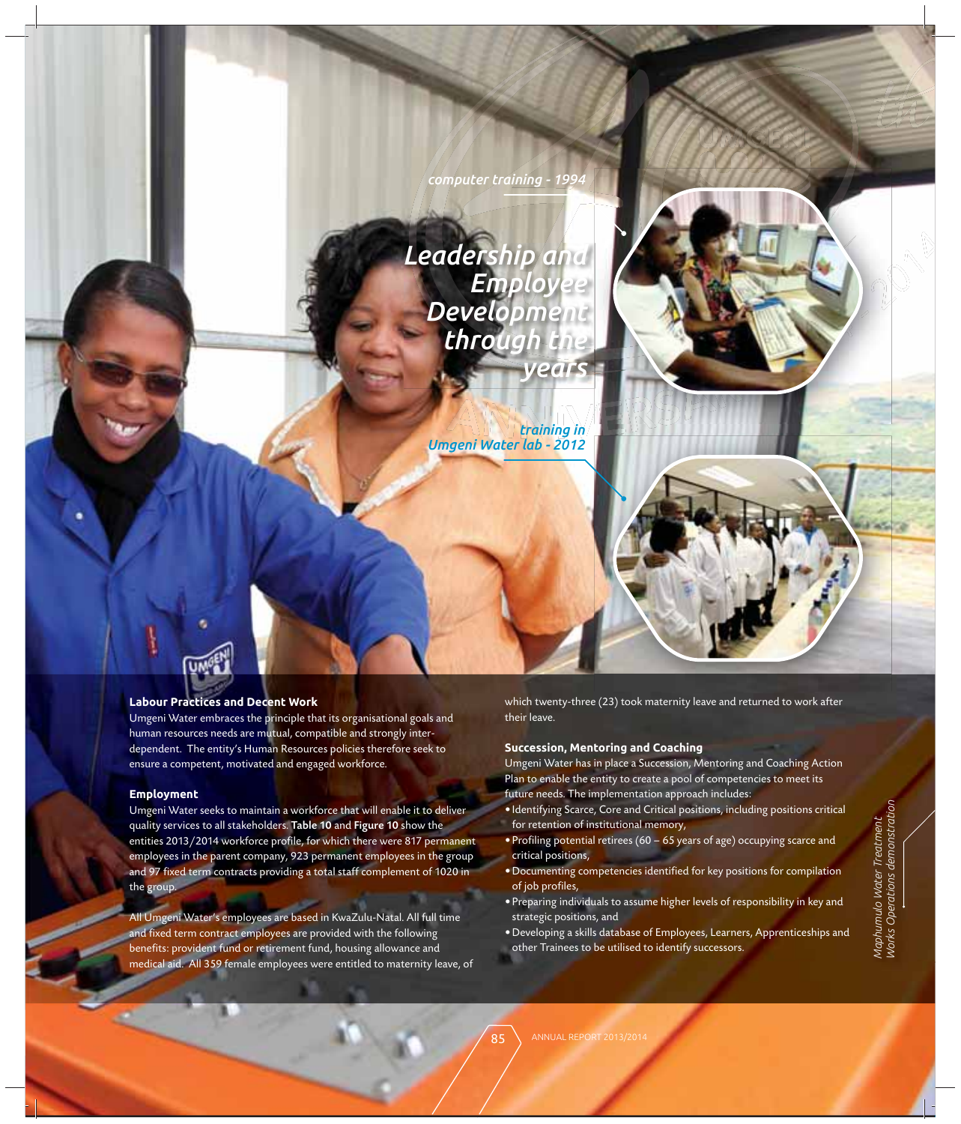

### **Labour Practices and Decent Work**

Umgeni Water embraces the principle that its organisational goals and human resources needs are mutual, compatible and strongly interdependent. The entity's Human Resources policies therefore seek to ensure a competent, motivated and engaged workforce.

#### **Employment**

Umgeni Water seeks to maintain a workforce that will enable it to deliver quality services to all stakeholders. Table 10 and Figure 10 show the entities 2013/2014 workforce profile, for which there were 817 permanent employees in the parent company, 923 permanent employees in the group and 97 fixed term contracts providing a total staff complement of 1020 in the group.

All Umgeni Water's employees are based in KwaZulu-Natal. All full time and fixed term contract employees are provided with the following benefits: provident fund or retirement fund, housing allowance and medical aid. All 359 female employees were entitled to maternity leave, of which twenty-three (23) took maternity leave and returned to work after their leave.

#### **Succession, Mentoring and Coaching**

Umgeni Water has in place a Succession, Mentoring and Coaching Action Plan to enable the entity to create a pool of competencies to meet its future needs. The implementation approach includes:

- Identifying Scarce, Core and Critical positions, including positions critical for retention of institutional memory,
- Profiling potential retirees (60 65 years of age) occupying scarce and critical positions,
- Documenting competencies identified for key positions for compilation of job profiles,
- Preparing individuals to assume higher levels of responsibility in key and strategic positions, and
- Developing a skills database of Employees, Learners, Apprenticeships and other Trainees to be utilised to identify successors. for retention of institutional memory,<br>
• Profiling potential retirees (60 – 65 years of age) occupying scarce and<br>
critical positions,<br>
• Documenting competencies identified for key positions for compilation<br>
of job profi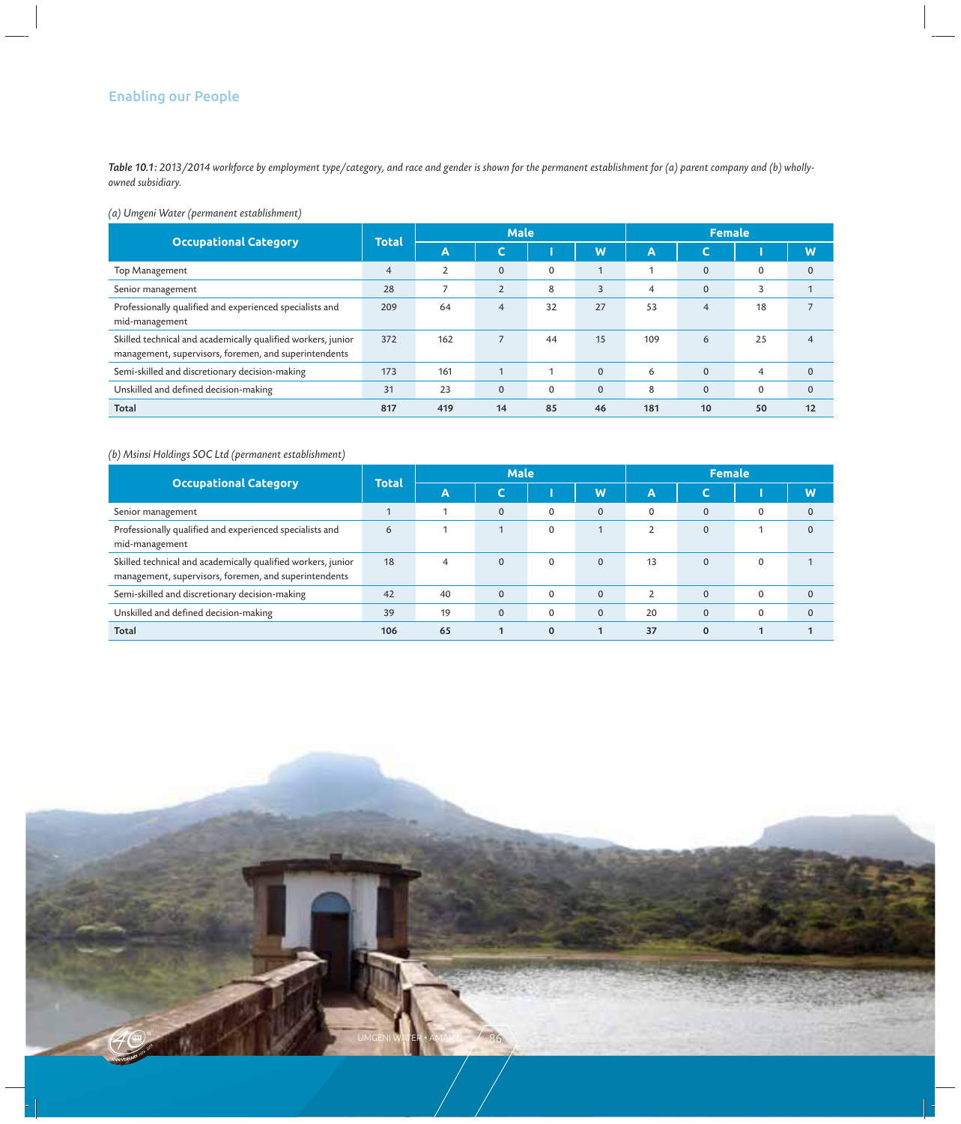#### Enabling our People

*Table 10.1: 2013/2014 workforce by employment type/category, and race and gender is shown for the permanent establishment for (a) parent company and (b) whollyowned subsidiary.*

#### *(a) Umgeni Water (permanent establishment)*

| <b>Occupational Category</b>                                                                                          | Total          | <b>Male</b>    |                |             |              | <b>Female</b>  |             |             |              |
|-----------------------------------------------------------------------------------------------------------------------|----------------|----------------|----------------|-------------|--------------|----------------|-------------|-------------|--------------|
|                                                                                                                       |                | A              | ◡              |             | W            | Α              | r<br>◡      |             | W            |
| Top Management                                                                                                        | $\overline{4}$ | $\overline{2}$ | $\mathbf 0$    | $\mathbf 0$ |              |                | $\mathbf 0$ | 0           | $\mathbf{0}$ |
| Senior management                                                                                                     | 28             | $\overline{ }$ | $\overline{2}$ | 8           | 3            | $\overline{4}$ | $\mathbf 0$ | 3           |              |
| Professionally qualified and experienced specialists and<br>mid-management                                            | 209            | 64             | $\overline{4}$ | 32          | 27           | 53             | 4           | 18          |              |
| Skilled technical and academically qualified workers, junior<br>management, supervisors, foremen, and superintendents | 372            | 162            | $\overline{ }$ | 44          | 15           | 109            | 6           | 25          | 4            |
| Semi-skilled and discretionary decision-making                                                                        | 173            | 161            |                |             | $\mathbf 0$  | 6              | $\mathbf 0$ | 4           | $\mathbf 0$  |
| Unskilled and defined decision-making                                                                                 | 31             | 23             | $\mathbf 0$    | $\mathbf 0$ | $\mathbf{0}$ | 8              | $\mathbf 0$ | $\mathbf 0$ | $\mathbf{0}$ |
| <b>Total</b>                                                                                                          | 817            | 419            | 14             | 85          | 46           | 181            | 10          | 50          | 12           |

#### *(b) Msinsi Holdings SOC Ltd (permanent establishment)*

|                                                                                                                       | Total | <b>Male</b>    |             |          |              | <b>Female</b>  |             |              |   |
|-----------------------------------------------------------------------------------------------------------------------|-------|----------------|-------------|----------|--------------|----------------|-------------|--------------|---|
| <b>Occupational Category</b>                                                                                          |       | A              | u           |          | W            | Α              | U           |              | W |
| Senior management                                                                                                     |       |                | $\mathbf 0$ | $\Omega$ | $\Omega$     | $\Omega$       | $\Omega$    | $\Omega$     |   |
| Professionally qualified and experienced specialists and<br>mid-management                                            | 6     |                |             | $\Omega$ |              | $\mathfrak{p}$ | $\mathbf 0$ |              |   |
| Skilled technical and academically qualified workers, junior<br>management, supervisors, foremen, and superintendents | 18    | $\overline{4}$ | $\Omega$    | $\Omega$ | $\Omega$     | 13             | $\Omega$    | $\mathbf{0}$ |   |
| Semi-skilled and discretionary decision-making                                                                        | 42    | 40             | $\mathbf 0$ | $\Omega$ | $\mathbf{0}$ | $\overline{2}$ | $\mathbf 0$ | $\mathbf{0}$ |   |
| Unskilled and defined decision-making                                                                                 | 39    | 19             | $\mathbf 0$ | 0        | $\mathbf 0$  | 20             | $\mathbf 0$ | $\Omega$     |   |
| <b>Total</b>                                                                                                          | 106   | 65             |             | $\Omega$ |              | 37             | $\Omega$    |              |   |

UMGENI WATER • AMANZI  $-$  /  $-$  86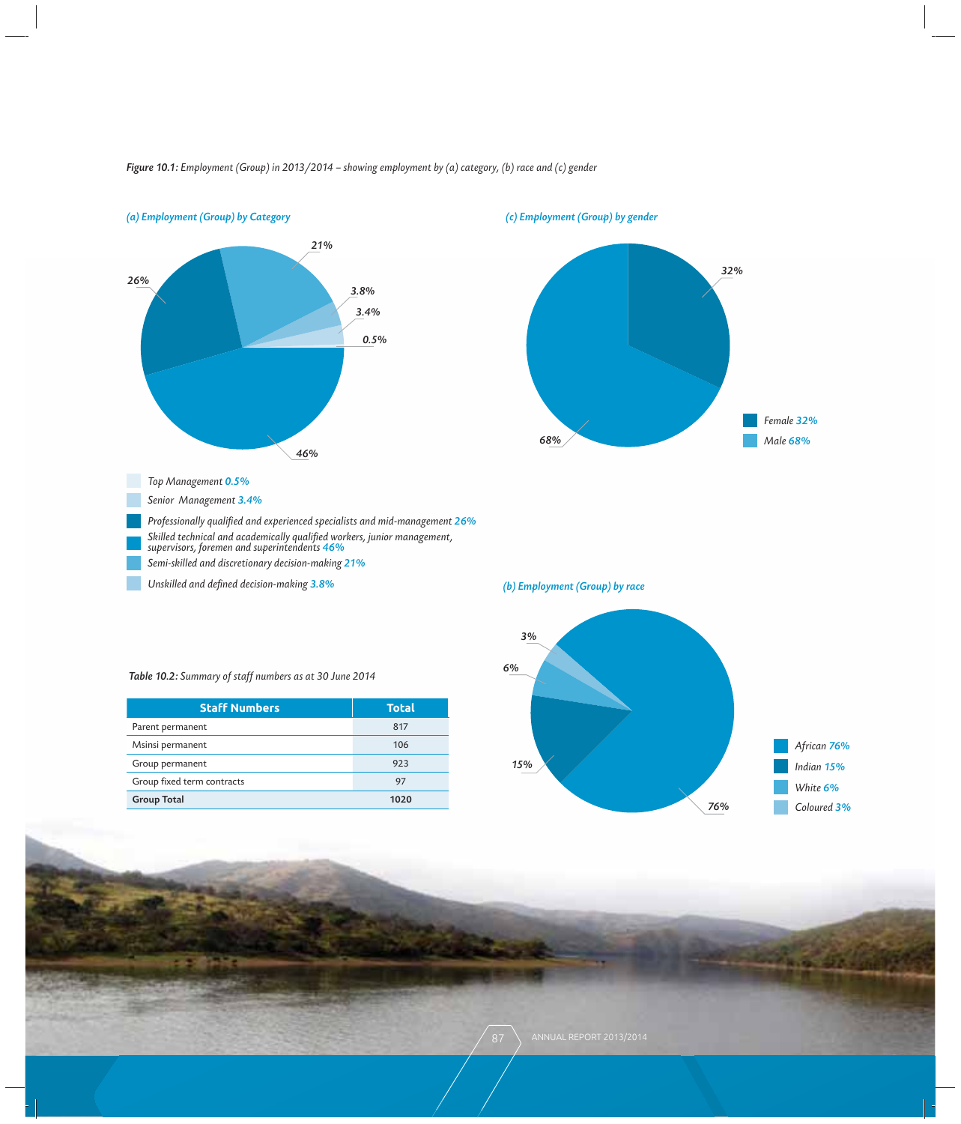

#### *Figure 10.1: Employment (Group) in 2013/2014 – showing employment by (a) category, (b) race and (c) gender*

*(c) Employment (Group) by gender*



*(b) Employment (Group) by race*

*Table 10.2: Summary of staff numbers as at 30 June 2014*

| <b>Staff Numbers</b>       | <b>Total</b> |
|----------------------------|--------------|
| Parent permanent           | 817          |
| Msinsi permanent           | 106          |
| Group permanent            | 923          |
| Group fixed term contracts | 97           |
| <b>Group Total</b>         | 1020         |

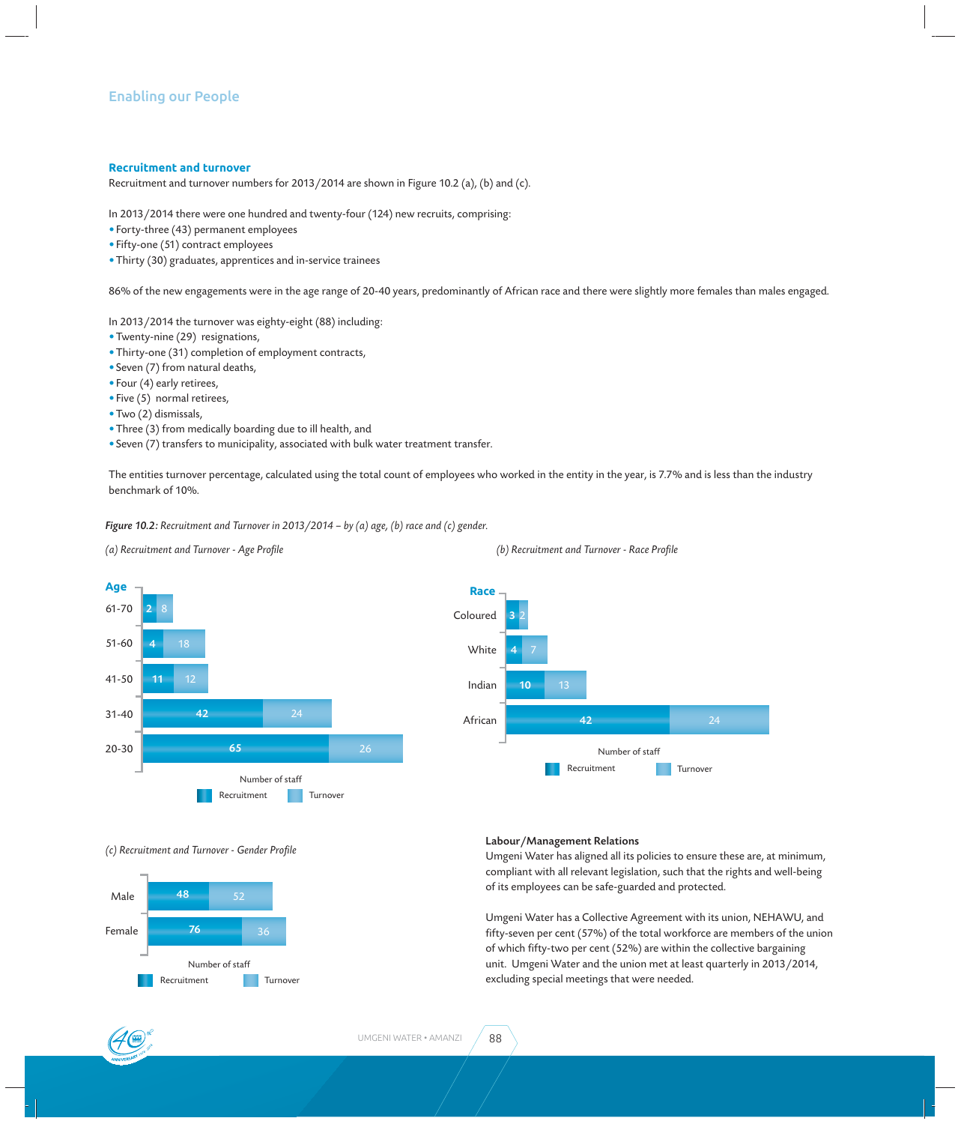#### **Recruitment and turnover**

Recruitment and turnover numbers for 2013/2014 are shown in Figure 10.2 (a), (b) and (c).

In 2013/2014 there were one hundred and twenty-four (124) new recruits, comprising:

- Forty-three (43) permanent employees
- Fifty-one (51) contract employees
- Thirty (30) graduates, apprentices and in-service trainees

86% of the new engagements were in the age range of 20-40 years, predominantly of African race and there were slightly more females than males engaged.

In 2013/2014 the turnover was eighty-eight (88) including:

- Twenty-nine (29) resignations,
- Thirty-one (31) completion of employment contracts,
- Seven (7) from natural deaths,
- Four (4) early retirees,
- Five (5) normal retirees,
- Two (2) dismissals,
- Three (3) from medically boarding due to ill health, and
- Seven (7) transfers to municipality, associated with bulk water treatment transfer.

The entities turnover percentage, calculated using the total count of employees who worked in the entity in the year, is 7.7% and is less than the industry benchmark of 10%.

**Race**

*Figure 10.2: Recruitment and Turnover in 2013/2014 – by (a) age, (b) race and (c) gender.*

*(a) Recruitment and Turnover - Age Profi le*



Coloured **White** African Indian 3 4 2 13 **42** 24 10 7 Recruitment Turnover Number of staff

#### *(c) Recruitment and Turnover - Gender Profi le*



#### Labour/Management Relations

Umgeni Water has aligned all its policies to ensure these are, at minimum, compliant with all relevant legislation, such that the rights and well-being of its employees can be safe-guarded and protected.

Umgeni Water has a Collective Agreement with its union, NEHAWU, and fifty-seven per cent (57%) of the total workforce are members of the union of which fifty-two per cent (52%) are within the collective bargaining unit. Umgeni Water and the union met at least quarterly in 2013/2014, excluding special meetings that were needed.

#### *(b) Recruitment and Turnover - Race Profi le*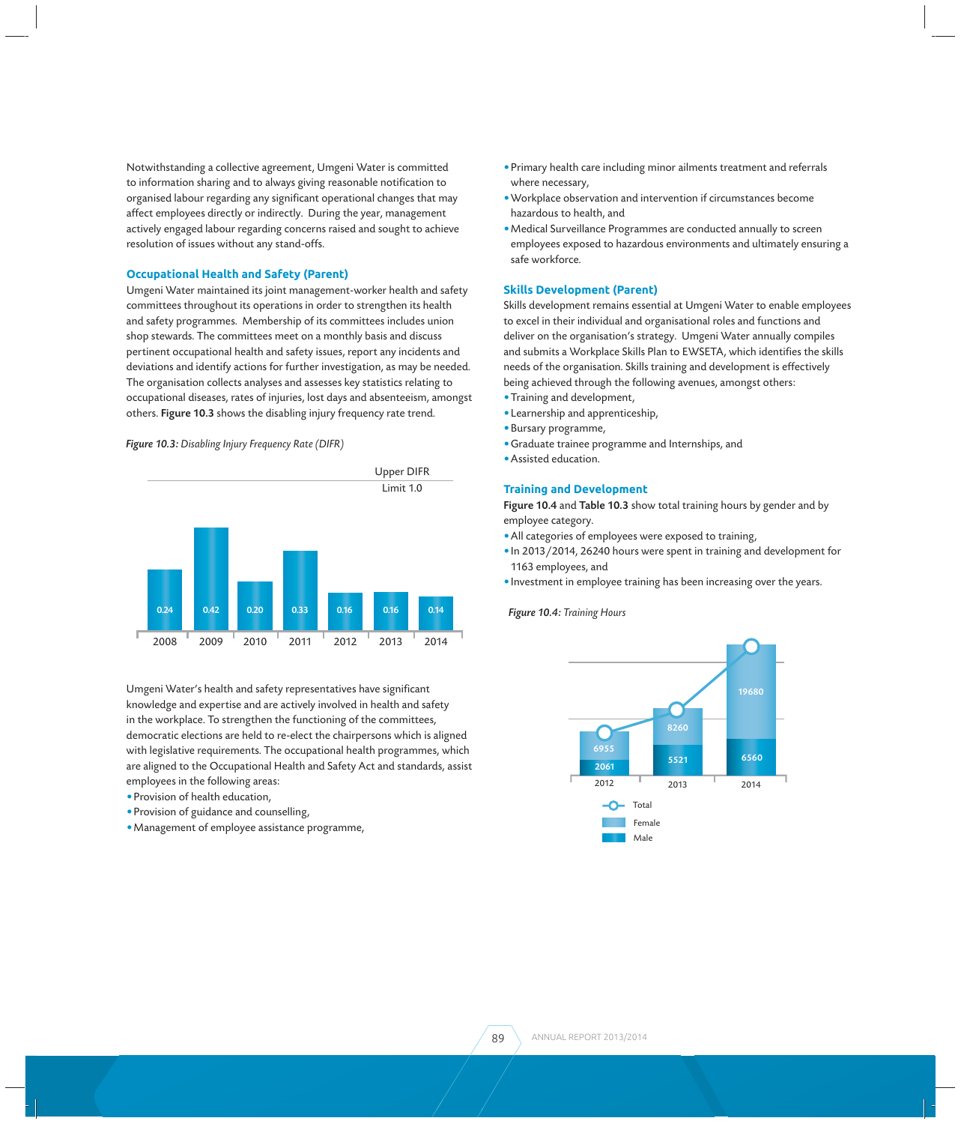Notwithstanding a collective agreement, Umgeni Water is committed to information sharing and to always giving reasonable notification to organised labour regarding any significant operational changes that may affect employees directly or indirectly. During the year, management actively engaged labour regarding concerns raised and sought to achieve resolution of issues without any stand-offs.

#### **Occupational Health and Safety (Parent)**

Umgeni Water maintained its joint management-worker health and safety committees throughout its operations in order to strengthen its health and safety programmes. Membership of its committees includes union shop stewards. The committees meet on a monthly basis and discuss pertinent occupational health and safety issues, report any incidents and deviations and identify actions for further investigation, as may be needed. The organisation collects analyses and assesses key statistics relating to occupational diseases, rates of injuries, lost days and absenteeism, amongst others. Figure 10.3 shows the disabling injury frequency rate trend.

#### *Figure 10.3: Disabling Injury Frequency Rate (DIFR)*



Umgeni Water's health and safety representatives have significant knowledge and expertise and are actively involved in health and safety in the workplace. To strengthen the functioning of the committees, democratic elections are held to re-elect the chairpersons which is aligned with legislative requirements. The occupational health programmes, which are aligned to the Occupational Health and Safety Act and standards, assist employees in the following areas:

- Provision of health education,
- Provision of guidance and counselling,
- Management of employee assistance programme,
- Primary health care including minor ailments treatment and referrals where necessary,
- Workplace observation and intervention if circumstances become hazardous to health, and
- Medical Surveillance Programmes are conducted annually to screen employees exposed to hazardous environments and ultimately ensuring a safe workforce.

#### **Skills Development (Parent)**

Skills development remains essential at Umgeni Water to enable employees to excel in their individual and organisational roles and functions and deliver on the organisation's strategy. Umgeni Water annually compiles and submits a Workplace Skills Plan to EWSETA, which identifies the skills needs of the organisation. Skills training and development is effectively being achieved through the following avenues, amongst others:

- Training and development,
- Learnership and apprenticeship,
- Bursary programme,
- Graduate trainee programme and Internships, and
- Assisted education.

#### **Training and Development**

Figure 10.4 and Table 10.3 show total training hours by gender and by employee category.

- All categories of employees were exposed to training,
- In 2013/2014, 26240 hours were spent in training and development for 1163 employees, and
- Investment in employee training has been increasing over the years.

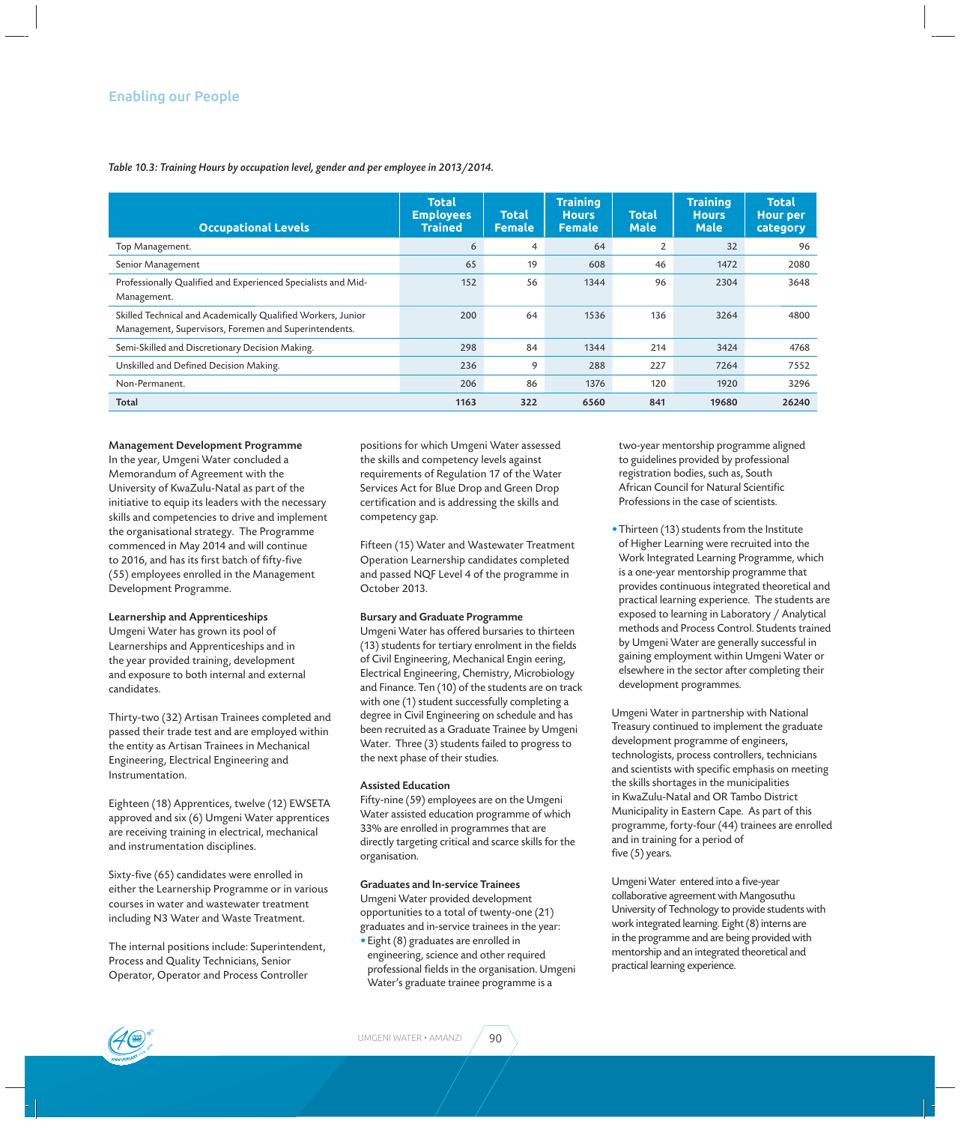*Table 10.3: Training Hours by occupation level, gender and per employee in 2013/2014.*

| <b>Occupational Levels</b>                                                                                            | <b>Total</b><br><b>Employees</b><br><b>Trained</b> | <b>Total</b><br><b>Female</b> | <b>Training</b><br><b>Hours</b><br><b>Female</b> | <b>Total</b><br><b>Male</b> | <b>Training</b><br><b>Hours</b><br><b>Male</b> | <b>Total</b><br><b>Hour per</b><br>category |
|-----------------------------------------------------------------------------------------------------------------------|----------------------------------------------------|-------------------------------|--------------------------------------------------|-----------------------------|------------------------------------------------|---------------------------------------------|
| Top Management.                                                                                                       | 6                                                  | 4                             | 64                                               | $\overline{2}$              | 32                                             | 96                                          |
| Senior Management                                                                                                     | 65                                                 | 19                            | 608                                              | 46                          | 1472                                           | 2080                                        |
| Professionally Qualified and Experienced Specialists and Mid-<br>Management.                                          | 152                                                | 56                            | 1344                                             | 96                          | 2304                                           | 3648                                        |
| Skilled Technical and Academically Qualified Workers, Junior<br>Management, Supervisors, Foremen and Superintendents. | 200                                                | 64                            | 1536                                             | 136                         | 3264                                           | 4800                                        |
| Semi-Skilled and Discretionary Decision Making.                                                                       | 298                                                | 84                            | 1344                                             | 214                         | 3424                                           | 4768                                        |
| Unskilled and Defined Decision Making.                                                                                | 236                                                | 9                             | 288                                              | 227                         | 7264                                           | 7552                                        |
| Non-Permanent.                                                                                                        | 206                                                | 86                            | 1376                                             | 120                         | 1920                                           | 3296                                        |
| <b>Total</b>                                                                                                          | 1163                                               | 322                           | 6560                                             | 841                         | 19680                                          | 26240                                       |

#### Management Development Programme

In the year, Umgeni Water concluded a Memorandum of Agreement with the University of KwaZulu-Natal as part of the initiative to equip its leaders with the necessary skills and competencies to drive and implement the organisational strategy. The Programme commenced in May 2014 and will continue to 2016, and has its first batch of fifty-five (55) employees enrolled in the Management Development Programme.

#### Learnership and Apprenticeships

Umgeni Water has grown its pool of Learnerships and Apprenticeships and in the year provided training, development and exposure to both internal and external candidates.

Thirty-two (32) Artisan Trainees completed and passed their trade test and are employed within the entity as Artisan Trainees in Mechanical Engineering, Electrical Engineering and Instrumentation.

Eighteen (18) Apprentices, twelve (12) EWSETA approved and six (6) Umgeni Water apprentices are receiving training in electrical, mechanical and instrumentation disciplines.

Sixty-five (65) candidates were enrolled in either the Learnership Programme or in various courses in water and wastewater treatment including N3 Water and Waste Treatment.

The internal positions include: Superintendent, Process and Quality Technicians, Senior Operator, Operator and Process Controller

positions for which Umgeni Water assessed the skills and competency levels against requirements of Regulation 17 of the Water Services Act for Blue Drop and Green Drop certification and is addressing the skills and competency gap.

Fifteen (15) Water and Wastewater Treatment Operation Learnership candidates completed and passed NQF Level 4 of the programme in October 2013.

#### Bursary and Graduate Programme

Umgeni Water has offered bursaries to thirteen (13) students for tertiary enrolment in the fields of Civil Engineering, Mechanical Engin eering, Electrical Engineering, Chemistry, Microbiology and Finance. Ten (10) of the students are on track with one (1) student successfully completing a degree in Civil Engineering on schedule and has been recruited as a Graduate Trainee by Umgeni Water. Three (3) students failed to progress to the next phase of their studies.

#### Assisted Education

Fifty-nine (59) employees are on the Umgeni Water assisted education programme of which 33% are enrolled in programmes that are directly targeting critical and scarce skills for the organisation.

#### Graduates and In-service Trainees Umgeni Water provided development opportunities to a total of twenty-one (21) graduates and in-service trainees in the year:

• Eight (8) graduates are enrolled in engineering, science and other required professional fields in the organisation. Umgeni Water's graduate trainee programme is a

 two-year mentorship programme aligned to guidelines provided by professional registration bodies, such as, South African Council for Natural Scientific Professions in the case of scientists.

• Thirteen (13) students from the Institute of Higher Learning were recruited into the Work Integrated Learning Programme, which is a one-year mentorship programme that provides continuous integrated theoretical and practical learning experience. The students are exposed to learning in Laboratory / Analytical methods and Process Control. Students trained by Umgeni Water are generally successful in gaining employment within Umgeni Water or elsewhere in the sector after completing their development programmes.

Umgeni Water in partnership with National Treasury continued to implement the graduate development programme of engineers, technologists, process controllers, technicians and scientists with specific emphasis on meeting the skills shortages in the municipalities in KwaZulu-Natal and OR Tambo District Municipality in Eastern Cape. As part of this programme, forty-four (44) trainees are enrolled and in training for a period of five  $(5)$  years.

Umgeni Water entered into a five-year collaborative agreement with Mangosuthu University of Technology to provide students with work integrated learning. Eight (8) interns are in the programme and are being provided with mentorship and an integrated theoretical and practical learning experience.

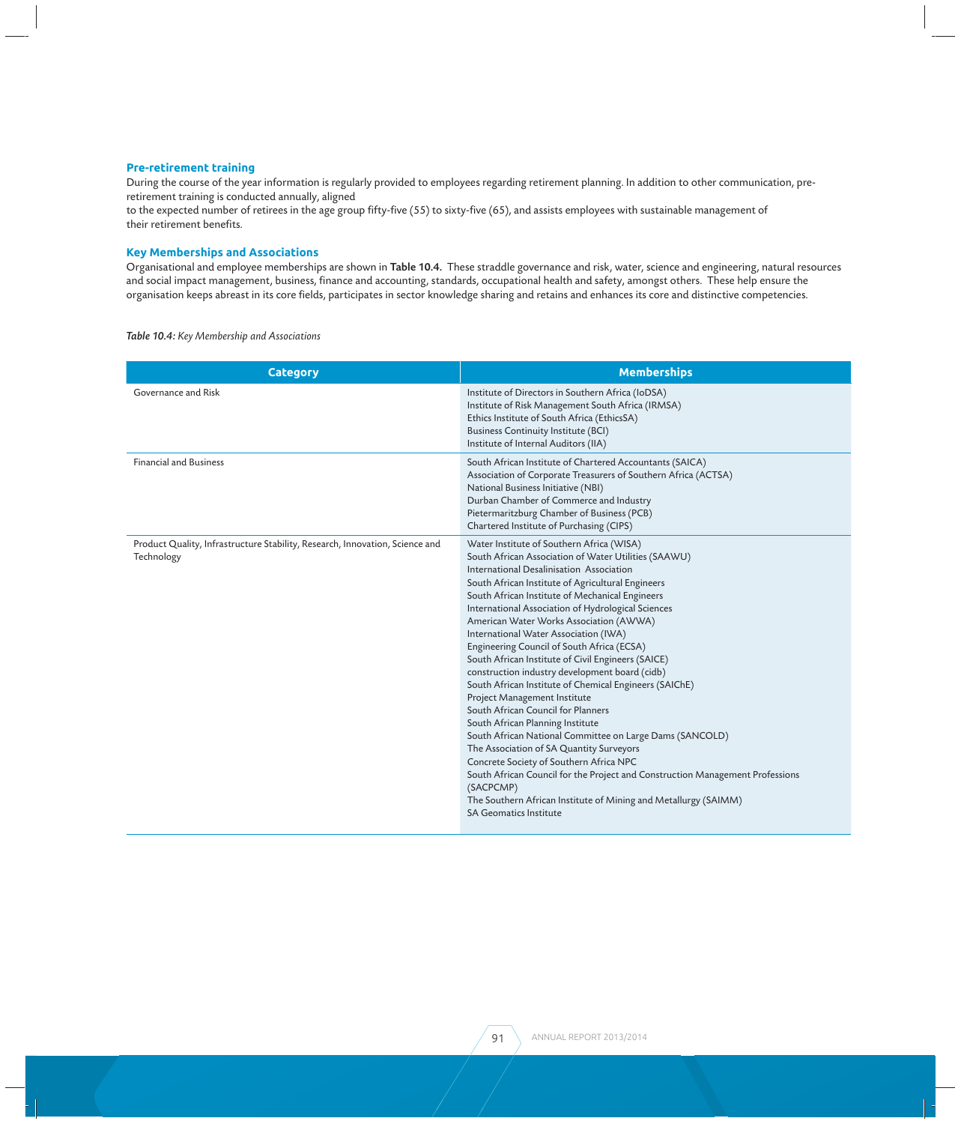#### **Pre-retirement training**

During the course of the year information is regularly provided to employees regarding retirement planning. In addition to other communication, preretirement training is conducted annually, aligned

to the expected number of retirees in the age group fifty-five (55) to sixty-five (65), and assists employees with sustainable management of their retirement benefits.

#### **Key Memberships and Associations**

Organisational and employee memberships are shown in Table 10.4. These straddle governance and risk, water, science and engineering, natural resources and social impact management, business, finance and accounting, standards, occupational health and safety, amongst others. These help ensure the organisation keeps abreast in its core fields, participates in sector knowledge sharing and retains and enhances its core and distinctive competencies.

*Table 10.4: Key Membership and Associations*

| <b>Category</b>                                                                            | <b>Memberships</b>                                                                                                                                                                                                                                                                                                                                                                                                                                                                                                                                                                                                                                                                                                                                                                                                                                                                                                                                                                                                                                                             |
|--------------------------------------------------------------------------------------------|--------------------------------------------------------------------------------------------------------------------------------------------------------------------------------------------------------------------------------------------------------------------------------------------------------------------------------------------------------------------------------------------------------------------------------------------------------------------------------------------------------------------------------------------------------------------------------------------------------------------------------------------------------------------------------------------------------------------------------------------------------------------------------------------------------------------------------------------------------------------------------------------------------------------------------------------------------------------------------------------------------------------------------------------------------------------------------|
| Governance and Risk                                                                        | Institute of Directors in Southern Africa (IoDSA)<br>Institute of Risk Management South Africa (IRMSA)<br>Ethics Institute of South Africa (EthicsSA)<br><b>Business Continuity Institute (BCI)</b><br>Institute of Internal Auditors (IIA)                                                                                                                                                                                                                                                                                                                                                                                                                                                                                                                                                                                                                                                                                                                                                                                                                                    |
| <b>Financial and Business</b>                                                              | South African Institute of Chartered Accountants (SAICA)<br>Association of Corporate Treasurers of Southern Africa (ACTSA)<br>National Business Initiative (NBI)<br>Durban Chamber of Commerce and Industry<br>Pietermaritzburg Chamber of Business (PCB)<br>Chartered Institute of Purchasing (CIPS)                                                                                                                                                                                                                                                                                                                                                                                                                                                                                                                                                                                                                                                                                                                                                                          |
| Product Quality, Infrastructure Stability, Research, Innovation, Science and<br>Technology | Water Institute of Southern Africa (WISA)<br>South African Association of Water Utilities (SAAWU)<br>International Desalinisation Association<br>South African Institute of Agricultural Engineers<br>South African Institute of Mechanical Engineers<br>International Association of Hydrological Sciences<br>American Water Works Association (AWWA)<br>International Water Association (IWA)<br>Engineering Council of South Africa (ECSA)<br>South African Institute of Civil Engineers (SAICE)<br>construction industry development board (cidb)<br>South African Institute of Chemical Engineers (SAIChE)<br>Project Management Institute<br>South African Council for Planners<br>South African Planning Institute<br>South African National Committee on Large Dams (SANCOLD)<br>The Association of SA Quantity Surveyors<br>Concrete Society of Southern Africa NPC<br>South African Council for the Project and Construction Management Professions<br>(SACPCMP)<br>The Southern African Institute of Mining and Metallurgy (SAIMM)<br><b>SA Geomatics Institute</b> |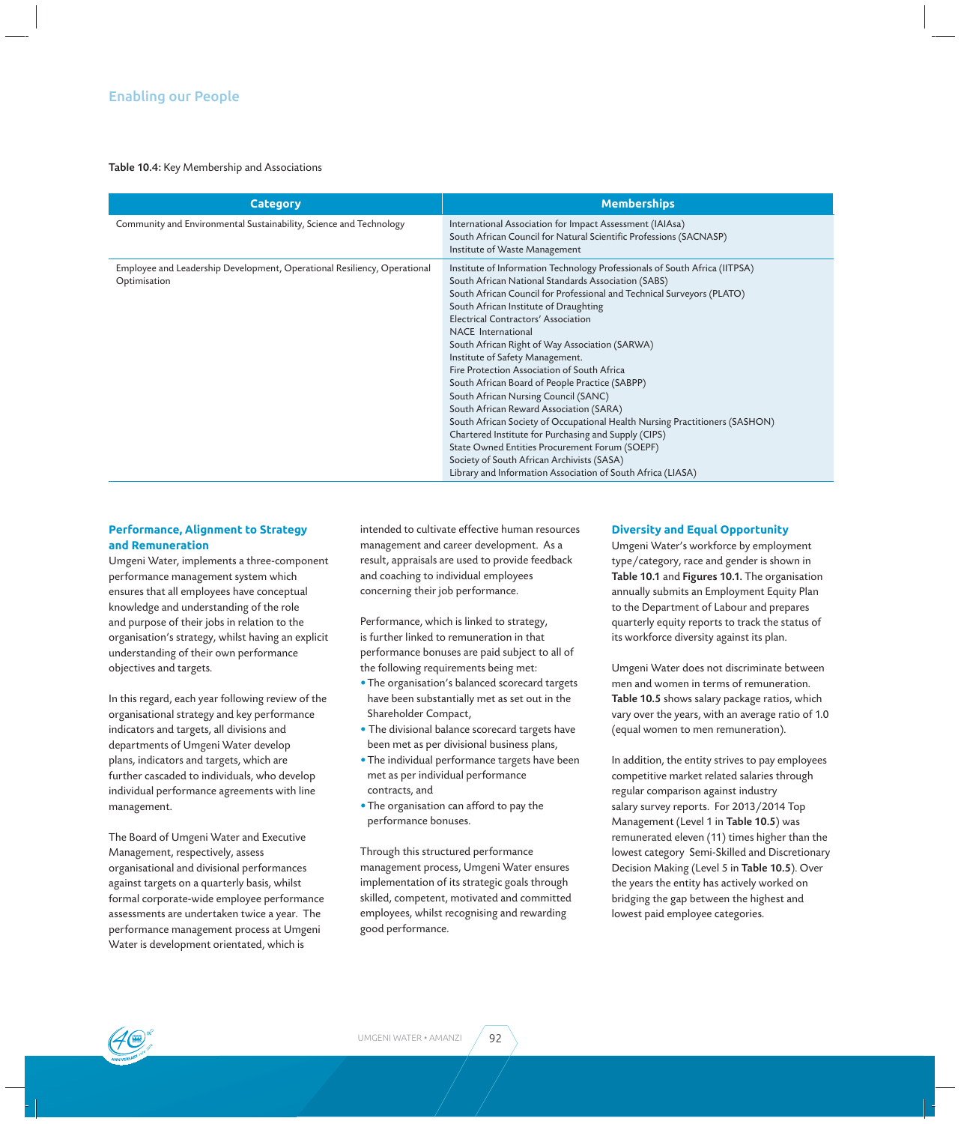#### Table 10.4: Key Membership and Associations

| <b>Category</b>                                                                          | <b>Memberships</b>                                                                                                                                                                                                                                                                                                                                                                                                                                                                                                                                                                                                                                                                                                                                                                                                                                                                               |
|------------------------------------------------------------------------------------------|--------------------------------------------------------------------------------------------------------------------------------------------------------------------------------------------------------------------------------------------------------------------------------------------------------------------------------------------------------------------------------------------------------------------------------------------------------------------------------------------------------------------------------------------------------------------------------------------------------------------------------------------------------------------------------------------------------------------------------------------------------------------------------------------------------------------------------------------------------------------------------------------------|
| Community and Environmental Sustainability, Science and Technology                       | International Association for Impact Assessment (IAIAsa)<br>South African Council for Natural Scientific Professions (SACNASP)<br>Institute of Waste Management                                                                                                                                                                                                                                                                                                                                                                                                                                                                                                                                                                                                                                                                                                                                  |
| Employee and Leadership Development, Operational Resiliency, Operational<br>Optimisation | Institute of Information Technology Professionals of South Africa (IITPSA)<br>South African National Standards Association (SABS)<br>South African Council for Professional and Technical Surveyors (PLATO)<br>South African Institute of Draughting<br>Electrical Contractors' Association<br>NACE International<br>South African Right of Way Association (SARWA)<br>Institute of Safety Management.<br>Fire Protection Association of South Africa<br>South African Board of People Practice (SABPP)<br>South African Nursing Council (SANC)<br>South African Reward Association (SARA)<br>South African Society of Occupational Health Nursing Practitioners (SASHON)<br>Chartered Institute for Purchasing and Supply (CIPS)<br>State Owned Entities Procurement Forum (SOEPF)<br>Society of South African Archivists (SASA)<br>Library and Information Association of South Africa (LIASA) |

#### **Performance, Alignment to Strategy and Remuneration**

Umgeni Water, implements a three-component performance management system which ensures that all employees have conceptual knowledge and understanding of the role and purpose of their jobs in relation to the organisation's strategy, whilst having an explicit understanding of their own performance objectives and targets.

In this regard, each year following review of the organisational strategy and key performance indicators and targets, all divisions and departments of Umgeni Water develop plans, indicators and targets, which are further cascaded to individuals, who develop individual performance agreements with line management.

The Board of Umgeni Water and Executive Management, respectively, assess organisational and divisional performances against targets on a quarterly basis, whilst formal corporate-wide employee performance assessments are undertaken twice a year. The performance management process at Umgeni Water is development orientated, which is

intended to cultivate effective human resources management and career development. As a result, appraisals are used to provide feedback and coaching to individual employees concerning their job performance.

Performance, which is linked to strategy, is further linked to remuneration in that performance bonuses are paid subject to all of the following requirements being met:

- The organisation's balanced scorecard targets have been substantially met as set out in the Shareholder Compact,
- The divisional balance scorecard targets have been met as per divisional business plans,
- The individual performance targets have been met as per individual performance contracts, and
- The organisation can afford to pay the performance bonuses.

Through this structured performance management process, Umgeni Water ensures implementation of its strategic goals through skilled, competent, motivated and committed employees, whilst recognising and rewarding good performance.

#### **Diversity and Equal Opportunity**

Umgeni Water's workforce by employment type/category, race and gender is shown in Table 10.1 and Figures 10.1. The organisation annually submits an Employment Equity Plan to the Department of Labour and prepares quarterly equity reports to track the status of its workforce diversity against its plan.

Umgeni Water does not discriminate between men and women in terms of remuneration. Table 10.5 shows salary package ratios, which vary over the years, with an average ratio of 1.0 (equal women to men remuneration).

In addition, the entity strives to pay employees competitive market related salaries through regular comparison against industry salary survey reports. For 2013/2014 Top Management (Level 1 in Table 10.5) was remunerated eleven (11) times higher than the lowest category Semi-Skilled and Discretionary Decision Making (Level 5 in Table 10.5). Over the years the entity has actively worked on bridging the gap between the highest and lowest paid employee categories.